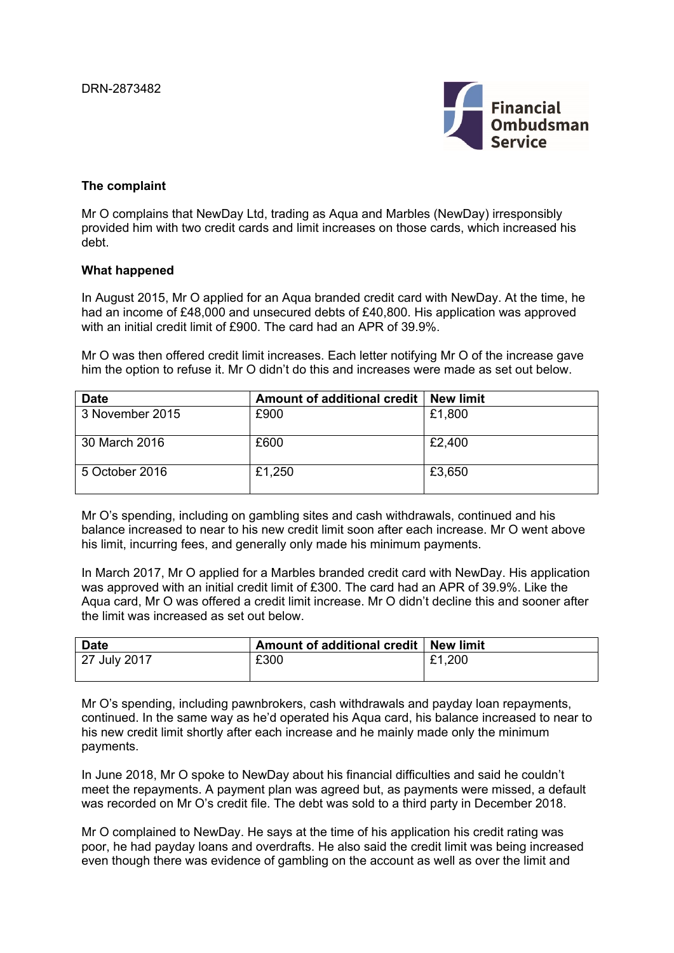

## **The complaint**

Mr O complains that NewDay Ltd, trading as Aqua and Marbles (NewDay) irresponsibly provided him with two credit cards and limit increases on those cards, which increased his debt.

## **What happened**

In August 2015, Mr O applied for an Aqua branded credit card with NewDay. At the time, he had an income of £48,000 and unsecured debts of £40,800. His application was approved with an initial credit limit of £900. The card had an APR of 39.9%.

Mr O was then offered credit limit increases. Each letter notifying Mr O of the increase gave him the option to refuse it. Mr O didn't do this and increases were made as set out below.

| <b>Date</b>     | Amount of additional credit | <b>New limit</b> |
|-----------------|-----------------------------|------------------|
| 3 November 2015 | £900                        | £1,800           |
| 30 March 2016   | £600                        | £2,400           |
| 5 October 2016  | £1,250                      | £3,650           |

Mr O's spending, including on gambling sites and cash withdrawals, continued and his balance increased to near to his new credit limit soon after each increase. Mr O went above his limit, incurring fees, and generally only made his minimum payments.

In March 2017, Mr O applied for a Marbles branded credit card with NewDay. His application was approved with an initial credit limit of £300. The card had an APR of 39.9%. Like the Aqua card, Mr O was offered a credit limit increase. Mr O didn't decline this and sooner after the limit was increased as set out below.

| <b>Date</b>  | Amount of additional credit   New limit |        |
|--------------|-----------------------------------------|--------|
| 27 July 2017 | £300                                    | £1,200 |

Mr O's spending, including pawnbrokers, cash withdrawals and payday loan repayments, continued. In the same way as he'd operated his Aqua card, his balance increased to near to his new credit limit shortly after each increase and he mainly made only the minimum payments.

In June 2018, Mr O spoke to NewDay about his financial difficulties and said he couldn't meet the repayments. A payment plan was agreed but, as payments were missed, a default was recorded on Mr O's credit file. The debt was sold to a third party in December 2018.

Mr O complained to NewDay. He says at the time of his application his credit rating was poor, he had payday loans and overdrafts. He also said the credit limit was being increased even though there was evidence of gambling on the account as well as over the limit and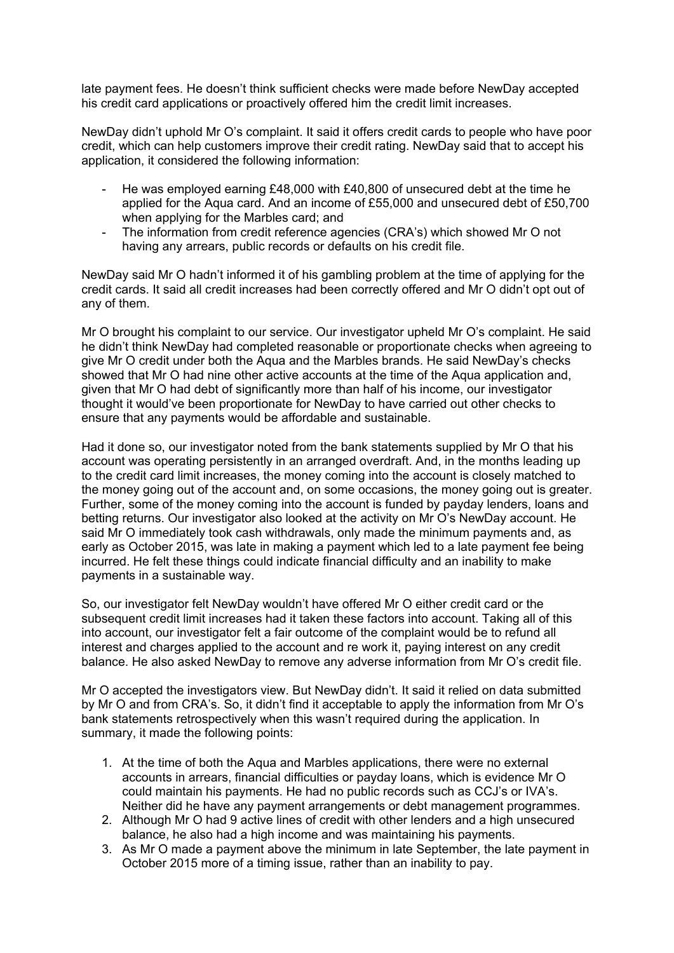late payment fees. He doesn't think sufficient checks were made before NewDay accepted his credit card applications or proactively offered him the credit limit increases.

NewDay didn't uphold Mr O's complaint. It said it offers credit cards to people who have poor credit, which can help customers improve their credit rating. NewDay said that to accept his application, it considered the following information:

- He was employed earning £48,000 with £40,800 of unsecured debt at the time he applied for the Aqua card. And an income of £55,000 and unsecured debt of £50,700 when applying for the Marbles card; and
- The information from credit reference agencies (CRA's) which showed Mr O not having any arrears, public records or defaults on his credit file.

NewDay said Mr O hadn't informed it of his gambling problem at the time of applying for the credit cards. It said all credit increases had been correctly offered and Mr O didn't opt out of any of them.

Mr O brought his complaint to our service. Our investigator upheld Mr O's complaint. He said he didn't think NewDay had completed reasonable or proportionate checks when agreeing to give Mr O credit under both the Aqua and the Marbles brands. He said NewDay's checks showed that Mr O had nine other active accounts at the time of the Aqua application and, given that Mr O had debt of significantly more than half of his income, our investigator thought it would've been proportionate for NewDay to have carried out other checks to ensure that any payments would be affordable and sustainable.

Had it done so, our investigator noted from the bank statements supplied by Mr O that his account was operating persistently in an arranged overdraft. And, in the months leading up to the credit card limit increases, the money coming into the account is closely matched to the money going out of the account and, on some occasions, the money going out is greater. Further, some of the money coming into the account is funded by payday lenders, loans and betting returns. Our investigator also looked at the activity on Mr O's NewDay account. He said Mr O immediately took cash withdrawals, only made the minimum payments and, as early as October 2015, was late in making a payment which led to a late payment fee being incurred. He felt these things could indicate financial difficulty and an inability to make payments in a sustainable way.

So, our investigator felt NewDay wouldn't have offered Mr O either credit card or the subsequent credit limit increases had it taken these factors into account. Taking all of this into account, our investigator felt a fair outcome of the complaint would be to refund all interest and charges applied to the account and re work it, paying interest on any credit balance. He also asked NewDay to remove any adverse information from Mr O's credit file.

Mr O accepted the investigators view. But NewDay didn't. It said it relied on data submitted by Mr O and from CRA's. So, it didn't find it acceptable to apply the information from Mr O's bank statements retrospectively when this wasn't required during the application. In summary, it made the following points:

- 1. At the time of both the Aqua and Marbles applications, there were no external accounts in arrears, financial difficulties or payday loans, which is evidence Mr O could maintain his payments. He had no public records such as CCJ's or IVA's. Neither did he have any payment arrangements or debt management programmes.
- 2. Although Mr O had 9 active lines of credit with other lenders and a high unsecured balance, he also had a high income and was maintaining his payments.
- 3. As Mr O made a payment above the minimum in late September, the late payment in October 2015 more of a timing issue, rather than an inability to pay.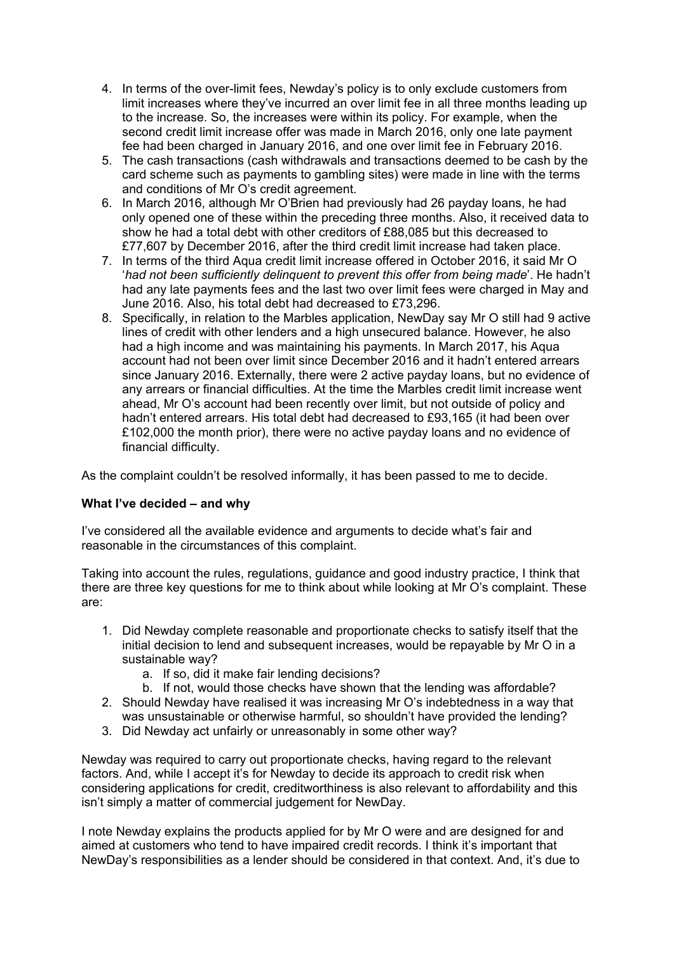- 4. In terms of the over-limit fees, Newday's policy is to only exclude customers from limit increases where they've incurred an over limit fee in all three months leading up to the increase. So, the increases were within its policy. For example, when the second credit limit increase offer was made in March 2016, only one late payment fee had been charged in January 2016, and one over limit fee in February 2016.
- 5. The cash transactions (cash withdrawals and transactions deemed to be cash by the card scheme such as payments to gambling sites) were made in line with the terms and conditions of Mr O's credit agreement.
- 6. In March 2016, although Mr O'Brien had previously had 26 payday loans, he had only opened one of these within the preceding three months. Also, it received data to show he had a total debt with other creditors of £88,085 but this decreased to £77,607 by December 2016, after the third credit limit increase had taken place.
- 7. In terms of the third Aqua credit limit increase offered in October 2016, it said Mr O '*had not been sufficiently delinquent to prevent this offer from being made*'. He hadn't had any late payments fees and the last two over limit fees were charged in May and June 2016. Also, his total debt had decreased to £73,296.
- 8. Specifically, in relation to the Marbles application, NewDay say Mr O still had 9 active lines of credit with other lenders and a high unsecured balance. However, he also had a high income and was maintaining his payments. In March 2017, his Aqua account had not been over limit since December 2016 and it hadn't entered arrears since January 2016. Externally, there were 2 active payday loans, but no evidence of any arrears or financial difficulties. At the time the Marbles credit limit increase went ahead, Mr O's account had been recently over limit, but not outside of policy and hadn't entered arrears. His total debt had decreased to £93,165 (it had been over £102,000 the month prior), there were no active payday loans and no evidence of financial difficulty.

As the complaint couldn't be resolved informally, it has been passed to me to decide.

# **What I've decided – and why**

I've considered all the available evidence and arguments to decide what's fair and reasonable in the circumstances of this complaint.

Taking into account the rules, regulations, guidance and good industry practice, I think that there are three key questions for me to think about while looking at Mr O's complaint. These are:

- 1. Did Newday complete reasonable and proportionate checks to satisfy itself that the initial decision to lend and subsequent increases, would be repayable by Mr O in a sustainable way?
	- a. If so, did it make fair lending decisions?
	- b. If not, would those checks have shown that the lending was affordable?
- 2. Should Newday have realised it was increasing Mr O's indebtedness in a way that was unsustainable or otherwise harmful, so shouldn't have provided the lending?
- 3. Did Newday act unfairly or unreasonably in some other way?

Newday was required to carry out proportionate checks, having regard to the relevant factors. And, while I accept it's for Newday to decide its approach to credit risk when considering applications for credit, creditworthiness is also relevant to affordability and this isn't simply a matter of commercial judgement for NewDay.

I note Newday explains the products applied for by Mr O were and are designed for and aimed at customers who tend to have impaired credit records. I think it's important that NewDay's responsibilities as a lender should be considered in that context. And, it's due to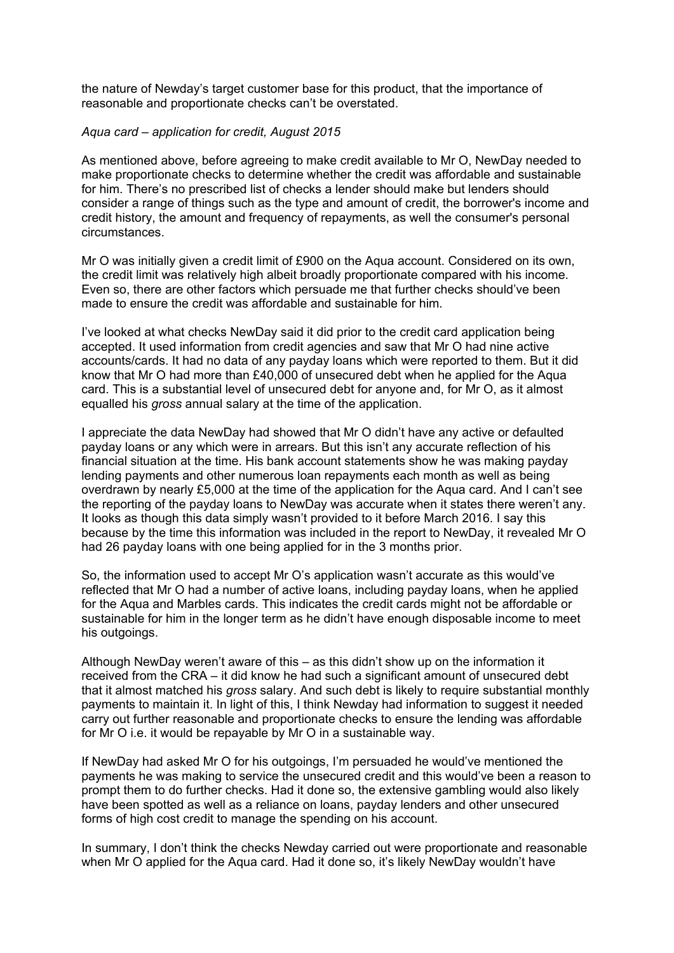the nature of Newday's target customer base for this product, that the importance of reasonable and proportionate checks can't be overstated.

## *Aqua card – application for credit, August 2015*

As mentioned above, before agreeing to make credit available to Mr O, NewDay needed to make proportionate checks to determine whether the credit was affordable and sustainable for him. There's no prescribed list of checks a lender should make but lenders should consider a range of things such as the type and amount of credit, the borrower's income and credit history, the amount and frequency of repayments, as well the consumer's personal circumstances.

Mr O was initially given a credit limit of £900 on the Aqua account. Considered on its own, the credit limit was relatively high albeit broadly proportionate compared with his income. Even so, there are other factors which persuade me that further checks should've been made to ensure the credit was affordable and sustainable for him.

I've looked at what checks NewDay said it did prior to the credit card application being accepted. It used information from credit agencies and saw that Mr O had nine active accounts/cards. It had no data of any payday loans which were reported to them. But it did know that Mr O had more than £40,000 of unsecured debt when he applied for the Aqua card. This is a substantial level of unsecured debt for anyone and, for Mr O, as it almost equalled his *gross* annual salary at the time of the application.

I appreciate the data NewDay had showed that Mr O didn't have any active or defaulted payday loans or any which were in arrears. But this isn't any accurate reflection of his financial situation at the time. His bank account statements show he was making payday lending payments and other numerous loan repayments each month as well as being overdrawn by nearly £5,000 at the time of the application for the Aqua card. And I can't see the reporting of the payday loans to NewDay was accurate when it states there weren't any. It looks as though this data simply wasn't provided to it before March 2016. I say this because by the time this information was included in the report to NewDay, it revealed Mr O had 26 payday loans with one being applied for in the 3 months prior.

So, the information used to accept Mr O's application wasn't accurate as this would've reflected that Mr O had a number of active loans, including payday loans, when he applied for the Aqua and Marbles cards. This indicates the credit cards might not be affordable or sustainable for him in the longer term as he didn't have enough disposable income to meet his outgoings.

Although NewDay weren't aware of this – as this didn't show up on the information it received from the CRA – it did know he had such a significant amount of unsecured debt that it almost matched his *gross* salary. And such debt is likely to require substantial monthly payments to maintain it. In light of this, I think Newday had information to suggest it needed carry out further reasonable and proportionate checks to ensure the lending was affordable for Mr O i.e. it would be repayable by Mr O in a sustainable way.

If NewDay had asked Mr O for his outgoings, I'm persuaded he would've mentioned the payments he was making to service the unsecured credit and this would've been a reason to prompt them to do further checks. Had it done so, the extensive gambling would also likely have been spotted as well as a reliance on loans, payday lenders and other unsecured forms of high cost credit to manage the spending on his account.

In summary, I don't think the checks Newday carried out were proportionate and reasonable when Mr O applied for the Aqua card. Had it done so, it's likely NewDay wouldn't have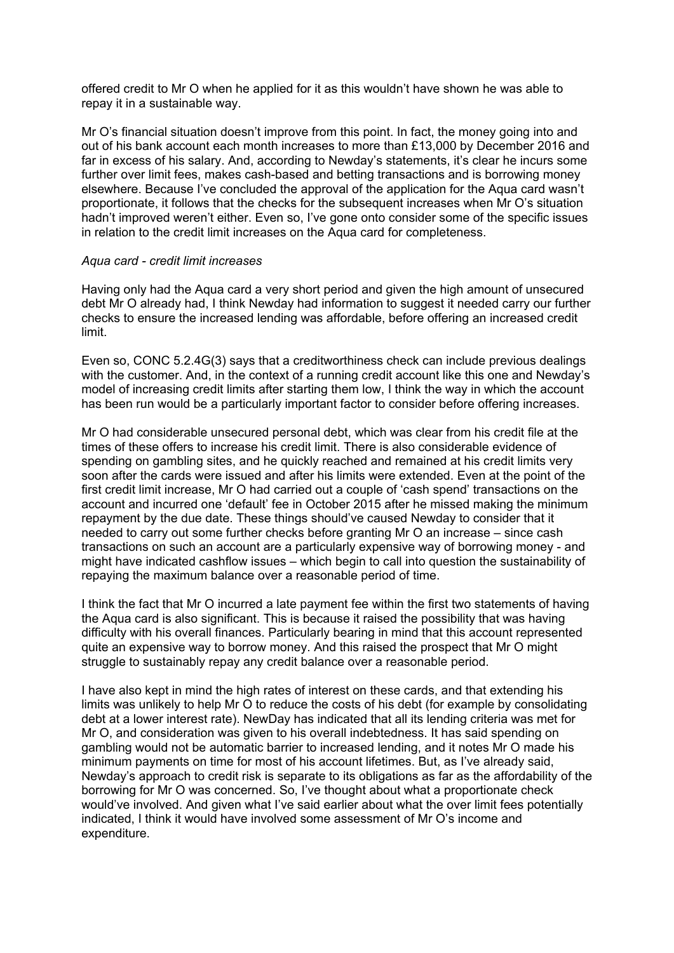offered credit to Mr O when he applied for it as this wouldn't have shown he was able to repay it in a sustainable way.

Mr O's financial situation doesn't improve from this point. In fact, the money going into and out of his bank account each month increases to more than £13,000 by December 2016 and far in excess of his salary. And, according to Newday's statements, it's clear he incurs some further over limit fees, makes cash-based and betting transactions and is borrowing money elsewhere. Because I've concluded the approval of the application for the Aqua card wasn't proportionate, it follows that the checks for the subsequent increases when Mr O's situation hadn't improved weren't either. Even so, I've gone onto consider some of the specific issues in relation to the credit limit increases on the Aqua card for completeness.

#### *Aqua card - credit limit increases*

Having only had the Aqua card a very short period and given the high amount of unsecured debt Mr O already had, I think Newday had information to suggest it needed carry our further checks to ensure the increased lending was affordable, before offering an increased credit limit.

Even so, CONC 5.2.4G(3) says that a creditworthiness check can include previous dealings with the customer. And, in the context of a running credit account like this one and Newday's model of increasing credit limits after starting them low, I think the way in which the account has been run would be a particularly important factor to consider before offering increases.

Mr O had considerable unsecured personal debt, which was clear from his credit file at the times of these offers to increase his credit limit. There is also considerable evidence of spending on gambling sites, and he quickly reached and remained at his credit limits very soon after the cards were issued and after his limits were extended. Even at the point of the first credit limit increase, Mr O had carried out a couple of 'cash spend' transactions on the account and incurred one 'default' fee in October 2015 after he missed making the minimum repayment by the due date. These things should've caused Newday to consider that it needed to carry out some further checks before granting Mr O an increase – since cash transactions on such an account are a particularly expensive way of borrowing money - and might have indicated cashflow issues – which begin to call into question the sustainability of repaying the maximum balance over a reasonable period of time.

I think the fact that Mr O incurred a late payment fee within the first two statements of having the Aqua card is also significant. This is because it raised the possibility that was having difficulty with his overall finances. Particularly bearing in mind that this account represented quite an expensive way to borrow money. And this raised the prospect that Mr O might struggle to sustainably repay any credit balance over a reasonable period.

I have also kept in mind the high rates of interest on these cards, and that extending his limits was unlikely to help Mr O to reduce the costs of his debt (for example by consolidating debt at a lower interest rate). NewDay has indicated that all its lending criteria was met for Mr O, and consideration was given to his overall indebtedness. It has said spending on gambling would not be automatic barrier to increased lending, and it notes Mr O made his minimum payments on time for most of his account lifetimes. But, as I've already said, Newday's approach to credit risk is separate to its obligations as far as the affordability of the borrowing for Mr O was concerned. So, I've thought about what a proportionate check would've involved. And given what I've said earlier about what the over limit fees potentially indicated, I think it would have involved some assessment of Mr O's income and expenditure.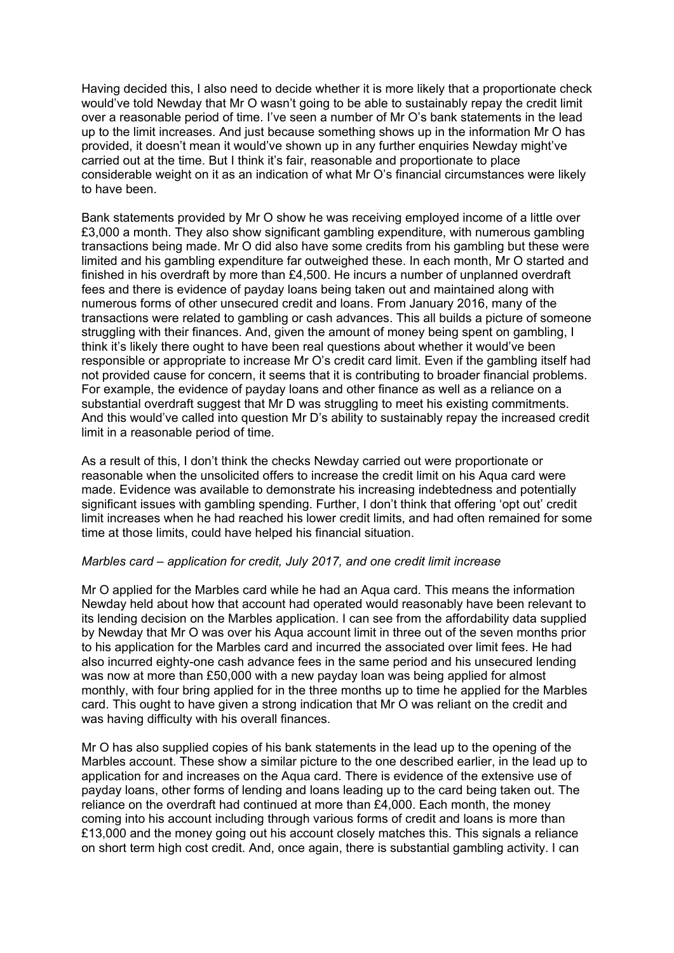Having decided this, I also need to decide whether it is more likely that a proportionate check would've told Newday that Mr O wasn't going to be able to sustainably repay the credit limit over a reasonable period of time. I've seen a number of Mr O's bank statements in the lead up to the limit increases. And just because something shows up in the information Mr O has provided, it doesn't mean it would've shown up in any further enquiries Newday might've carried out at the time. But I think it's fair, reasonable and proportionate to place considerable weight on it as an indication of what Mr O's financial circumstances were likely to have been.

Bank statements provided by Mr O show he was receiving employed income of a little over £3,000 a month. They also show significant gambling expenditure, with numerous gambling transactions being made. Mr O did also have some credits from his gambling but these were limited and his gambling expenditure far outweighed these. In each month, Mr O started and finished in his overdraft by more than £4,500. He incurs a number of unplanned overdraft fees and there is evidence of payday loans being taken out and maintained along with numerous forms of other unsecured credit and loans. From January 2016, many of the transactions were related to gambling or cash advances. This all builds a picture of someone struggling with their finances. And, given the amount of money being spent on gambling, I think it's likely there ought to have been real questions about whether it would've been responsible or appropriate to increase Mr O's credit card limit. Even if the gambling itself had not provided cause for concern, it seems that it is contributing to broader financial problems. For example, the evidence of payday loans and other finance as well as a reliance on a substantial overdraft suggest that Mr D was struggling to meet his existing commitments. And this would've called into question Mr D's ability to sustainably repay the increased credit limit in a reasonable period of time.

As a result of this, I don't think the checks Newday carried out were proportionate or reasonable when the unsolicited offers to increase the credit limit on his Aqua card were made. Evidence was available to demonstrate his increasing indebtedness and potentially significant issues with gambling spending. Further, I don't think that offering 'opt out' credit limit increases when he had reached his lower credit limits, and had often remained for some time at those limits, could have helped his financial situation.

### *Marbles card – application for credit, July 2017, and one credit limit increase*

Mr O applied for the Marbles card while he had an Aqua card. This means the information Newday held about how that account had operated would reasonably have been relevant to its lending decision on the Marbles application. I can see from the affordability data supplied by Newday that Mr O was over his Aqua account limit in three out of the seven months prior to his application for the Marbles card and incurred the associated over limit fees. He had also incurred eighty-one cash advance fees in the same period and his unsecured lending was now at more than £50,000 with a new payday loan was being applied for almost monthly, with four bring applied for in the three months up to time he applied for the Marbles card. This ought to have given a strong indication that Mr O was reliant on the credit and was having difficulty with his overall finances.

Mr O has also supplied copies of his bank statements in the lead up to the opening of the Marbles account. These show a similar picture to the one described earlier, in the lead up to application for and increases on the Aqua card. There is evidence of the extensive use of payday loans, other forms of lending and loans leading up to the card being taken out. The reliance on the overdraft had continued at more than £4,000. Each month, the money coming into his account including through various forms of credit and loans is more than £13,000 and the money going out his account closely matches this. This signals a reliance on short term high cost credit. And, once again, there is substantial gambling activity. I can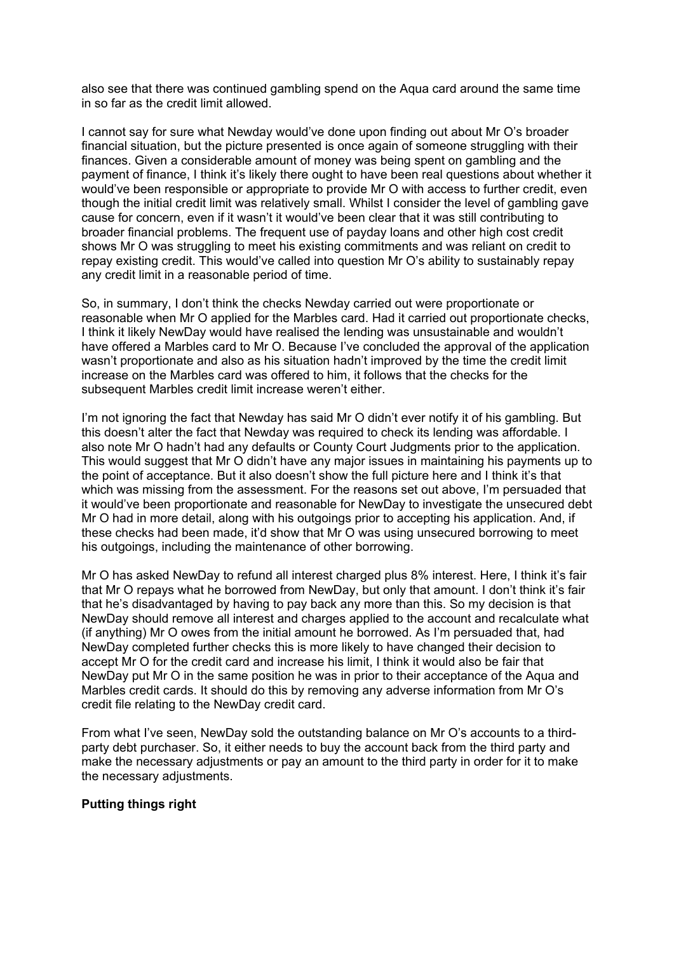also see that there was continued gambling spend on the Aqua card around the same time in so far as the credit limit allowed.

I cannot say for sure what Newday would've done upon finding out about Mr O's broader financial situation, but the picture presented is once again of someone struggling with their finances. Given a considerable amount of money was being spent on gambling and the payment of finance, I think it's likely there ought to have been real questions about whether it would've been responsible or appropriate to provide Mr O with access to further credit, even though the initial credit limit was relatively small. Whilst I consider the level of gambling gave cause for concern, even if it wasn't it would've been clear that it was still contributing to broader financial problems. The frequent use of payday loans and other high cost credit shows Mr O was struggling to meet his existing commitments and was reliant on credit to repay existing credit. This would've called into question Mr O's ability to sustainably repay any credit limit in a reasonable period of time.

So, in summary, I don't think the checks Newday carried out were proportionate or reasonable when Mr O applied for the Marbles card. Had it carried out proportionate checks, I think it likely NewDay would have realised the lending was unsustainable and wouldn't have offered a Marbles card to Mr O. Because I've concluded the approval of the application wasn't proportionate and also as his situation hadn't improved by the time the credit limit increase on the Marbles card was offered to him, it follows that the checks for the subsequent Marbles credit limit increase weren't either.

I'm not ignoring the fact that Newday has said Mr O didn't ever notify it of his gambling. But this doesn't alter the fact that Newday was required to check its lending was affordable. I also note Mr O hadn't had any defaults or County Court Judgments prior to the application. This would suggest that Mr O didn't have any major issues in maintaining his payments up to the point of acceptance. But it also doesn't show the full picture here and I think it's that which was missing from the assessment. For the reasons set out above, I'm persuaded that it would've been proportionate and reasonable for NewDay to investigate the unsecured debt Mr O had in more detail, along with his outgoings prior to accepting his application. And, if these checks had been made, it'd show that Mr O was using unsecured borrowing to meet his outgoings, including the maintenance of other borrowing.

Mr O has asked NewDay to refund all interest charged plus 8% interest. Here, I think it's fair that Mr O repays what he borrowed from NewDay, but only that amount. I don't think it's fair that he's disadvantaged by having to pay back any more than this. So my decision is that NewDay should remove all interest and charges applied to the account and recalculate what (if anything) Mr O owes from the initial amount he borrowed. As I'm persuaded that, had NewDay completed further checks this is more likely to have changed their decision to accept Mr O for the credit card and increase his limit, I think it would also be fair that NewDay put Mr O in the same position he was in prior to their acceptance of the Aqua and Marbles credit cards. It should do this by removing any adverse information from Mr O's credit file relating to the NewDay credit card.

From what I've seen, NewDay sold the outstanding balance on Mr O's accounts to a thirdparty debt purchaser. So, it either needs to buy the account back from the third party and make the necessary adjustments or pay an amount to the third party in order for it to make the necessary adjustments.

# **Putting things right**